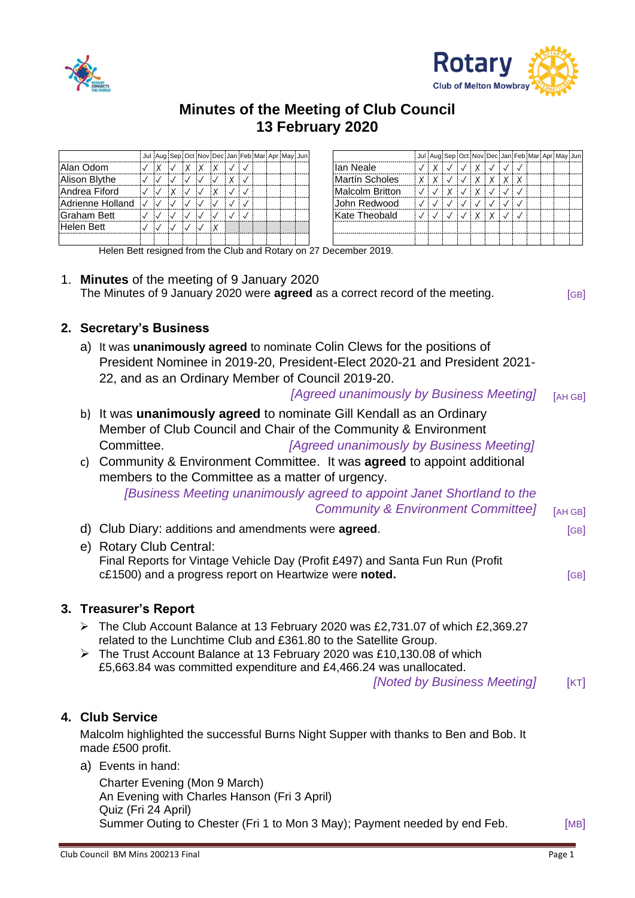



# **Minutes of the Meeting of Club Council 13 February 2020**

|                  |  |  | Jul Aug Sep Oct Nov Dec Jan Feb Mar Apr May Jun |   |  |  |  |                 |   |   |   |          |            |          | Jul Aug Sep Oct Nov Dec Jan Feb Mar Apr May Jun |  |  |
|------------------|--|--|-------------------------------------------------|---|--|--|--|-----------------|---|---|---|----------|------------|----------|-------------------------------------------------|--|--|
| Alan Odom        |  |  | X                                               |   |  |  |  | llan Neale      |   | X |   | X        | $\sqrt{3}$ |          |                                                 |  |  |
| Alison Blythe    |  |  |                                                 | X |  |  |  | Martín Scholes  | X | X |   | $\vee$   | $\times$   | $\times$ |                                                 |  |  |
| Andrea Fiford    |  |  | $\vee$                                          |   |  |  |  | Malcolm Britton |   |   | X | $\times$ |            |          |                                                 |  |  |
| Adrienne Holland |  |  |                                                 |   |  |  |  | Uohn Redwood    |   |   |   |          |            |          |                                                 |  |  |
| Graham Bett      |  |  |                                                 |   |  |  |  | Kate Theobald   |   |   |   | X        |            |          |                                                 |  |  |
| Helen Bett       |  |  |                                                 |   |  |  |  |                 |   |   |   |          |            |          |                                                 |  |  |
|                  |  |  |                                                 |   |  |  |  |                 |   |   |   |          |            |          |                                                 |  |  |

Helen Bett resigned from the Club and Rotary on 27 December 2019.

1. **Minutes** of the meeting of 9 January 2020 The Minutes of 9 January 2020 were **agreed** as a correct record of the meeting. [GB]

#### **2. Secretary's Business**

- a) It was **unanimously agreed** to nominate Colin Clews for the positions of President Nominee in 2019-20, President-Elect 2020-21 and President 2021- 22, and as an Ordinary Member of Council 2019-20. *[Agreed unanimously by Business Meeting]* [AH GB]
- b) It was **unanimously agreed** to nominate Gill Kendall as an Ordinary Member of Club Council and Chair of the Community & Environment Committee. *[Agreed unanimously by Business Meeting]*
- c) Community & Environment Committee. It was **agreed** to appoint additional members to the Committee as a matter of urgency. *[Business Meeting unanimously agreed to appoint Janet Shortland to the*

*Community & Environment Committee]* [AH GB]

| d) Club Diary: additions and amendments were <b>agreed</b> .                                                                                                       | [GB] |
|--------------------------------------------------------------------------------------------------------------------------------------------------------------------|------|
| e) Rotary Club Central:<br>Final Reports for Vintage Vehicle Day (Profit £497) and Santa Fun Run (Profit<br>c£1500) and a progress report on Heartwize were noted. | [GB] |
| 3. Treasurer's Report                                                                                                                                              |      |
| The Club Account Balance at 13 February 2020 was £2,731.07 of which £2,369.27                                                                                      |      |
|                                                                                                                                                                    |      |

- related to the Lunchtime Club and £361.80 to the Satellite Group.
- ➢ The Trust Account Balance at 13 February 2020 was £10,130.08 of which £5,663.84 was committed expenditure and £4,466.24 was unallocated.

*[Noted by Business Meeting]* [KT]

## **4. Club Service**

Malcolm highlighted the successful Burns Night Supper with thanks to Ben and Bob. It made £500 profit.

a) Events in hand:

Charter Evening (Mon 9 March) An Evening with Charles Hanson (Fri 3 April) Quiz (Fri 24 April) Summer Outing to Chester (Fri 1 to Mon 3 May); Payment needed by end Feb. [MB]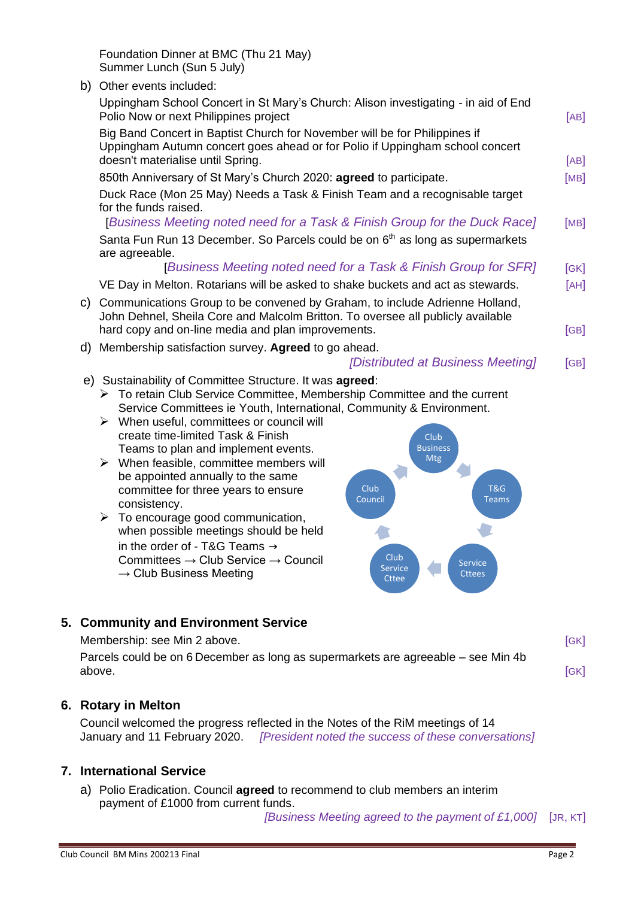Big Band Concert in Baptist Church for November will be for Philippines if

b) Other events included:

Summer Lunch (Sun 5 July)

Foundation Dinner at BMC (Thu 21 May)

| Uppingham Autumn concert goes ahead or for Polio if Uppingham school concert<br>doesn't materialise until Spring. | [AB]         |
|-------------------------------------------------------------------------------------------------------------------|--------------|
| 850th Anniversary of St Mary's Church 2020: agreed to participate.                                                | [MB]         |
| Duck Race (Mon 25 May) Needs a Task & Finish Team and a recognisable target                                       |              |
| for the funds raised.                                                                                             |              |
| [Business Meeting noted need for a Task & Finish Group for the Duck Race]                                         | [MB]         |
| Santa Fun Run 13 December. So Parcels could be on 6 <sup>th</sup> as long as supermarkets                         |              |
| are agreeable.<br>I Duainean Mactina noted nood for a Tool, O Finish Oroun for OFDI                               | $F \sim 1.7$ |
|                                                                                                                   |              |

Polio Now or next Philippines project **Example 2018** (AB] **[AB]** 

Uppingham School Concert in St Mary's Church: Alison investigating - in aid of End

[*Business Meeting noted need for a Task & Finish Group for SFR]* [GK] VE Day in Melton. Rotarians will be asked to shake buckets and act as stewards.  $[AH]$ c) Communications Group to be convened by Graham, to include Adrienne Holland,

- John Dehnel, Sheila Core and Malcolm Britton. To oversee all publicly available hard copy and on-line media and plan improvements. The same state of GB]
- d) Membership satisfaction survey. **Agreed** to go ahead.

#### *[Distributed at Business Meeting]* [GB]

e) Sustainability of Committee Structure. It was **agreed**:

➢ To retain Club Service Committee, Membership Committee and the current Service Committees ie Youth, International, Community & Environment.

- $\triangleright$  When useful, committees or council will create time-limited Task & Finish Teams to plan and implement events.
- $\triangleright$  When feasible, committee members will be appointed annually to the same committee for three years to ensure consistency.
- $\triangleright$  To encourage good communication, when possible meetings should be held in the order of - T&G Teams → Committees → Club Service → Council  $\rightarrow$  Club Business Meeting



### **5. Community and Environment Service**

Membership: see Min 2 above. **Example 2008** See Min 2 above.

Parcels could be on 6 December as long as supermarkets are agreeable – see Min 4b above. [GK]

### **6. Rotary in Melton**

Council welcomed the progress reflected in the Notes of the RiM meetings of 14 January and 11 February 2020. *[President noted the success of these conversations]*

### **7. International Service**

a) Polio Eradication. Council **agreed** to recommend to club members an interim payment of £1000 from current funds.

*[Business Meeting agreed to the payment of £1,000]* [JR, KT]